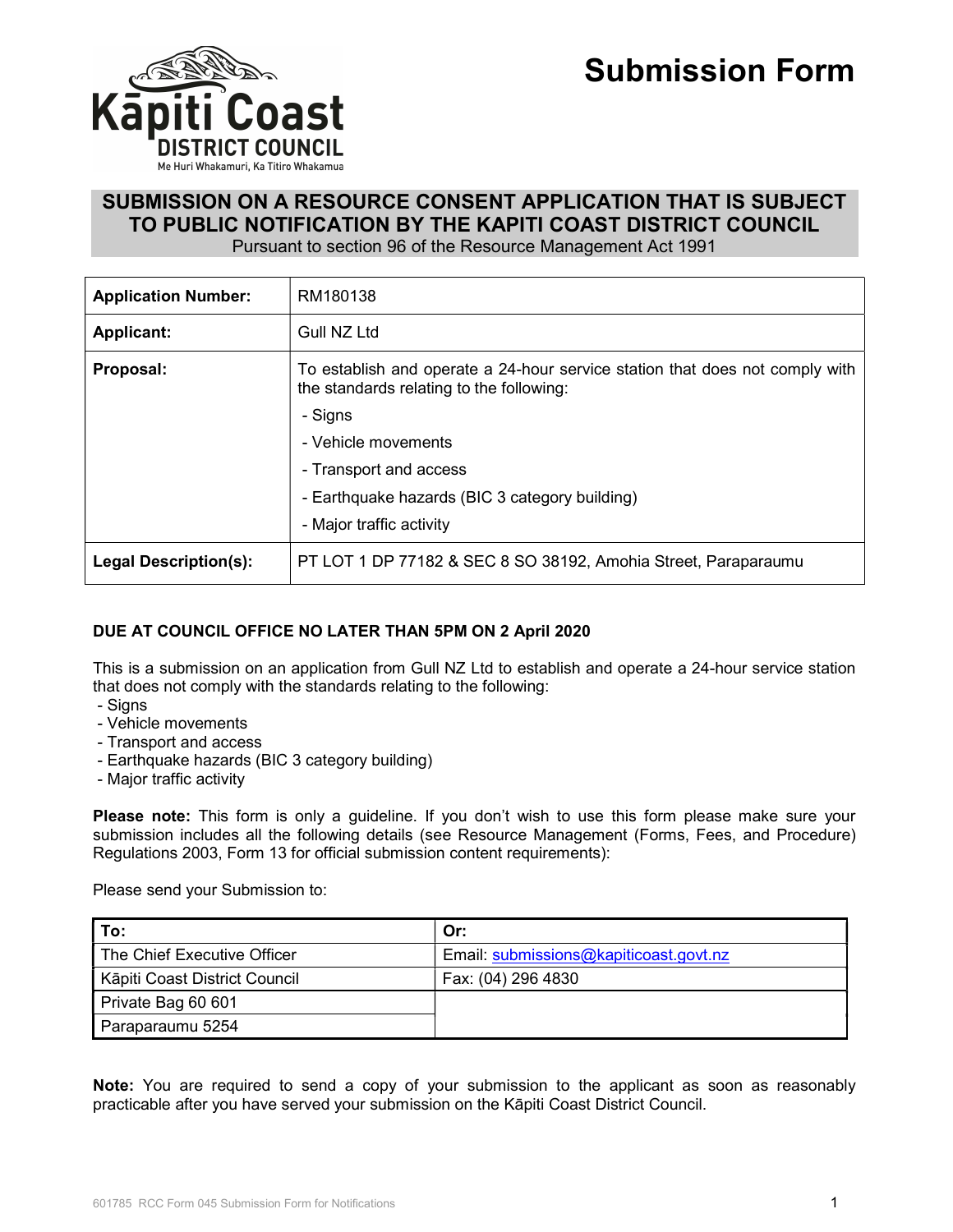



# SUBMISSION ON A RESOURCE CONSENT APPLICATION THAT IS SUBJECT TO PUBLIC NOTIFICATION BY THE KAPITI COAST DISTRICT COUNCIL

Pursuant to section 96 of the Resource Management Act 1991

| <b>Application Number:</b>   | RM180138                                                                                                                 |  |
|------------------------------|--------------------------------------------------------------------------------------------------------------------------|--|
| <b>Applicant:</b>            | Gull NZ Ltd                                                                                                              |  |
| Proposal:                    | To establish and operate a 24-hour service station that does not comply with<br>the standards relating to the following: |  |
|                              | - Signs                                                                                                                  |  |
|                              | - Vehicle movements                                                                                                      |  |
|                              | - Transport and access                                                                                                   |  |
|                              | - Earthquake hazards (BIC 3 category building)                                                                           |  |
|                              | - Major traffic activity                                                                                                 |  |
| <b>Legal Description(s):</b> | PT LOT 1 DP 77182 & SEC 8 SO 38192, Amohia Street, Paraparaumu                                                           |  |

# DUE AT COUNCIL OFFICE NO LATER THAN 5PM ON 2 April 2020

This is a submission on an application from Gull NZ Ltd to establish and operate a 24-hour service station that does not comply with the standards relating to the following:

- Signs
- Vehicle movements
- Transport and access
- Earthquake hazards (BIC 3 category building)
- Major traffic activity

Please note: This form is only a quideline. If you don't wish to use this form please make sure your submission includes all the following details (see Resource Management (Forms, Fees, and Procedure) Regulations 2003, Form 13 for official submission content requirements):

Please send your Submission to:

| To:                           | Or:                                    |
|-------------------------------|----------------------------------------|
| The Chief Executive Officer   | Email: submissions@kapiticoast.govt.nz |
| Kāpiti Coast District Council | Fax: (04) 296 4830                     |
| Private Bag 60 601            |                                        |
| Paraparaumu 5254              |                                        |

Note: You are required to send a copy of your submission to the applicant as soon as reasonably practicable after you have served your submission on the Kāpiti Coast District Council.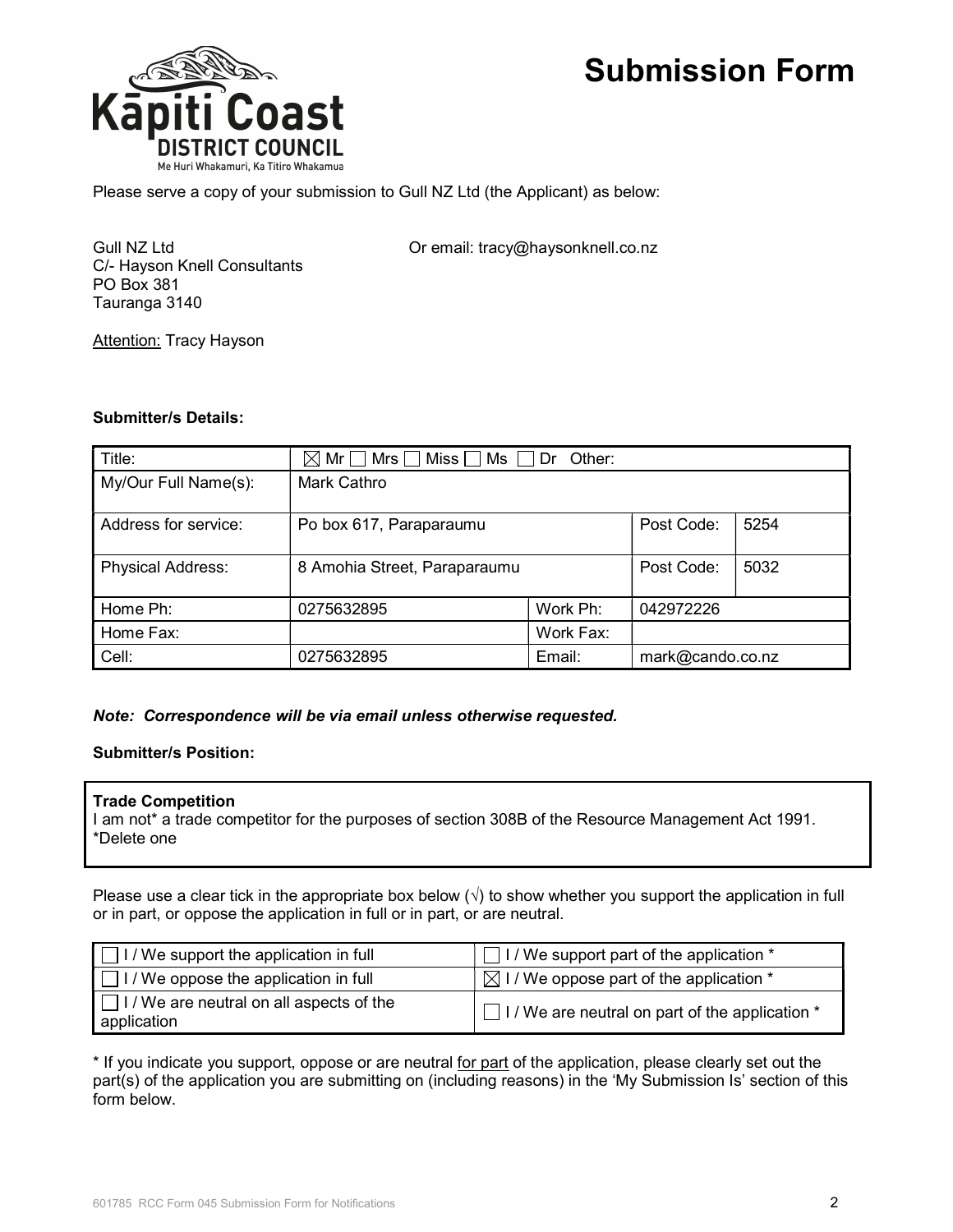

Please serve a copy of your submission to Gull NZ Ltd (the Applicant) as below:

C/- Hayson Knell Consultants PO Box 381 Tauranga 3140

Gull NZ Ltd **Call Contract Contract Contract Contract Contract Contract Contract Contract Contract Contract Contract Contract Contract Contract Contract Contract Contract Contract Contract Contract Contract Contract Contra** 

**Attention: Tracy Hayson** 

### Submitter/s Details:

| Title:                   | $\boxtimes$ Mr $\Box$ Mrs $\Box$ Miss $\Box$ Ms $\Box$ Dr $\,$ Other: |           |                  |      |
|--------------------------|-----------------------------------------------------------------------|-----------|------------------|------|
| My/Our Full Name(s):     | Mark Cathro                                                           |           |                  |      |
| Address for service:     | Po box 617, Paraparaumu                                               |           | Post Code:       | 5254 |
| <b>Physical Address:</b> | 8 Amohia Street, Paraparaumu                                          |           | Post Code:       | 5032 |
| Home Ph:                 | 0275632895                                                            | Work Ph:  | 042972226        |      |
| Home Fax:                |                                                                       | Work Fax: |                  |      |
| Cell:                    | 0275632895                                                            | Email:    | mark@cando.co.nz |      |

#### Note: Correspondence will be via email unless otherwise requested.

### Submitter/s Position:

#### Trade Competition

I am not\* a trade competitor for the purposes of section 308B of the Resource Management Act 1991. \*Delete one

Please use a clear tick in the appropriate box below  $(\sqrt{})$  to show whether you support the application in full or in part, or oppose the application in full or in part, or are neutral.

| $\Box$ I / We support the application in full                  | $\Box$ I / We support part of the application $*$         |  |  |
|----------------------------------------------------------------|-----------------------------------------------------------|--|--|
| $\Box$ I / We oppose the application in full                   | $\boxtimes$ I / We oppose part of the application $^*$    |  |  |
| $\Box$ I / We are neutral on all aspects of the<br>application | $\Box$ I / We are neutral on part of the application $^*$ |  |  |

\* If you indicate you support, oppose or are neutral for part of the application, please clearly set out the part(s) of the application you are submitting on (including reasons) in the 'My Submission Is' section of this form below.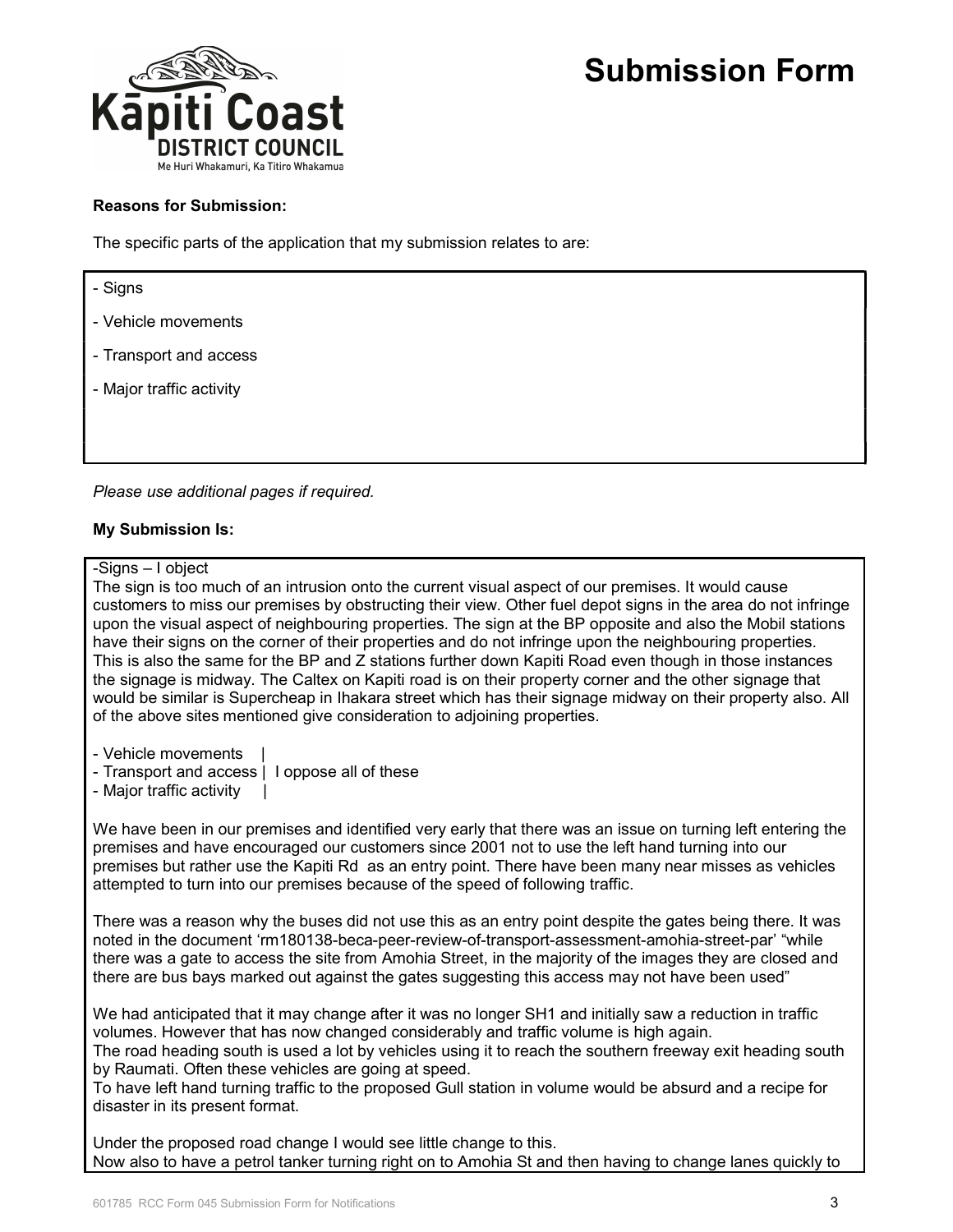

### Reasons for Submission:

The specific parts of the application that my submission relates to are:

- Signs

- Vehicle movements
- Transport and access
- Major traffic activity

Please use additional pages if required.

### My Submission Is:

#### -Signs – I object

The sign is too much of an intrusion onto the current visual aspect of our premises. It would cause customers to miss our premises by obstructing their view. Other fuel depot signs in the area do not infringe upon the visual aspect of neighbouring properties. The sign at the BP opposite and also the Mobil stations have their signs on the corner of their properties and do not infringe upon the neighbouring properties. This is also the same for the BP and Z stations further down Kapiti Road even though in those instances the signage is midway. The Caltex on Kapiti road is on their property corner and the other signage that would be similar is Supercheap in Ihakara street which has their signage midway on their property also. All of the above sites mentioned give consideration to adjoining properties.

- Vehicle movements |

- Transport and access | I oppose all of these
- Major traffic activity |

We have been in our premises and identified very early that there was an issue on turning left entering the premises and have encouraged our customers since 2001 not to use the left hand turning into our premises but rather use the Kapiti Rd as an entry point. There have been many near misses as vehicles attempted to turn into our premises because of the speed of following traffic.

There was a reason why the buses did not use this as an entry point despite the gates being there. It was noted in the document 'rm180138-beca-peer-review-of-transport-assessment-amohia-street-par' "while there was a gate to access the site from Amohia Street, in the majority of the images they are closed and there are bus bays marked out against the gates suggesting this access may not have been used"

We had anticipated that it may change after it was no longer SH1 and initially saw a reduction in traffic volumes. However that has now changed considerably and traffic volume is high again.

The road heading south is used a lot by vehicles using it to reach the southern freeway exit heading south by Raumati. Often these vehicles are going at speed.

To have left hand turning traffic to the proposed Gull station in volume would be absurd and a recipe for disaster in its present format.

Under the proposed road change I would see little change to this. Now also to have a petrol tanker turning right on to Amohia St and then having to change lanes quickly to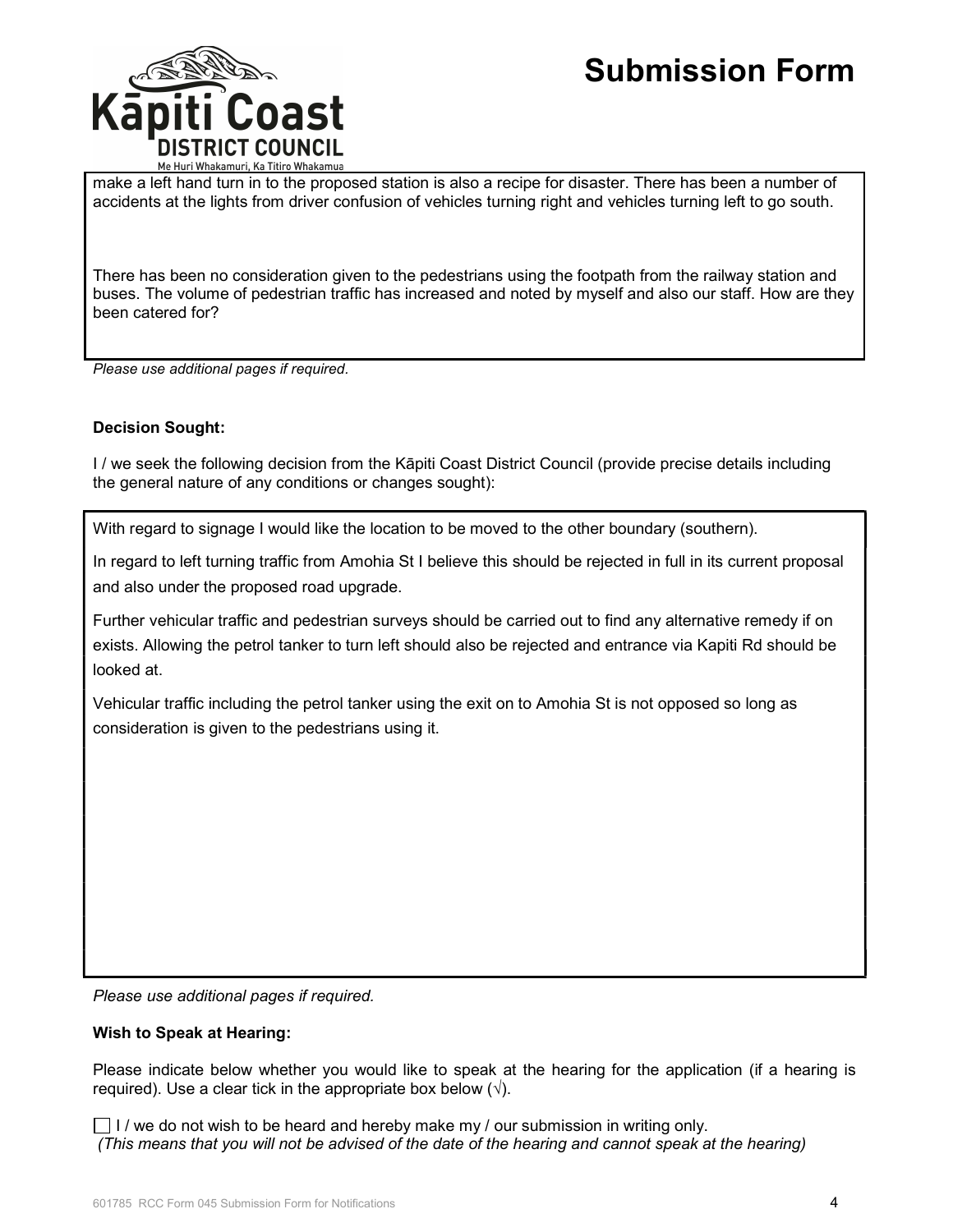

make a left hand turn in to the proposed station is also a recipe for disaster. There has been a number of accidents at the lights from driver confusion of vehicles turning right and vehicles turning left to go south.

There has been no consideration given to the pedestrians using the footpath from the railway station and buses. The volume of pedestrian traffic has increased and noted by myself and also our staff. How are they been catered for?

Please use additional pages if required.

# Decision Sought:

I / we seek the following decision from the Kāpiti Coast District Council (provide precise details including the general nature of any conditions or changes sought):

With regard to signage I would like the location to be moved to the other boundary (southern).

In regard to left turning traffic from Amohia St I believe this should be rejected in full in its current proposal and also under the proposed road upgrade.

Further vehicular traffic and pedestrian surveys should be carried out to find any alternative remedy if on exists. Allowing the petrol tanker to turn left should also be rejected and entrance via Kapiti Rd should be looked at.

Vehicular traffic including the petrol tanker using the exit on to Amohia St is not opposed so long as consideration is given to the pedestrians using it.

Please use additional pages if required.

# Wish to Speak at Hearing:

Please indicate below whether you would like to speak at the hearing for the application (if a hearing is required). Use a clear tick in the appropriate box below  $(\sqrt{)}$ .

 $\Box$  I / we do not wish to be heard and hereby make my / our submission in writing only. (This means that you will not be advised of the date of the hearing and cannot speak at the hearing)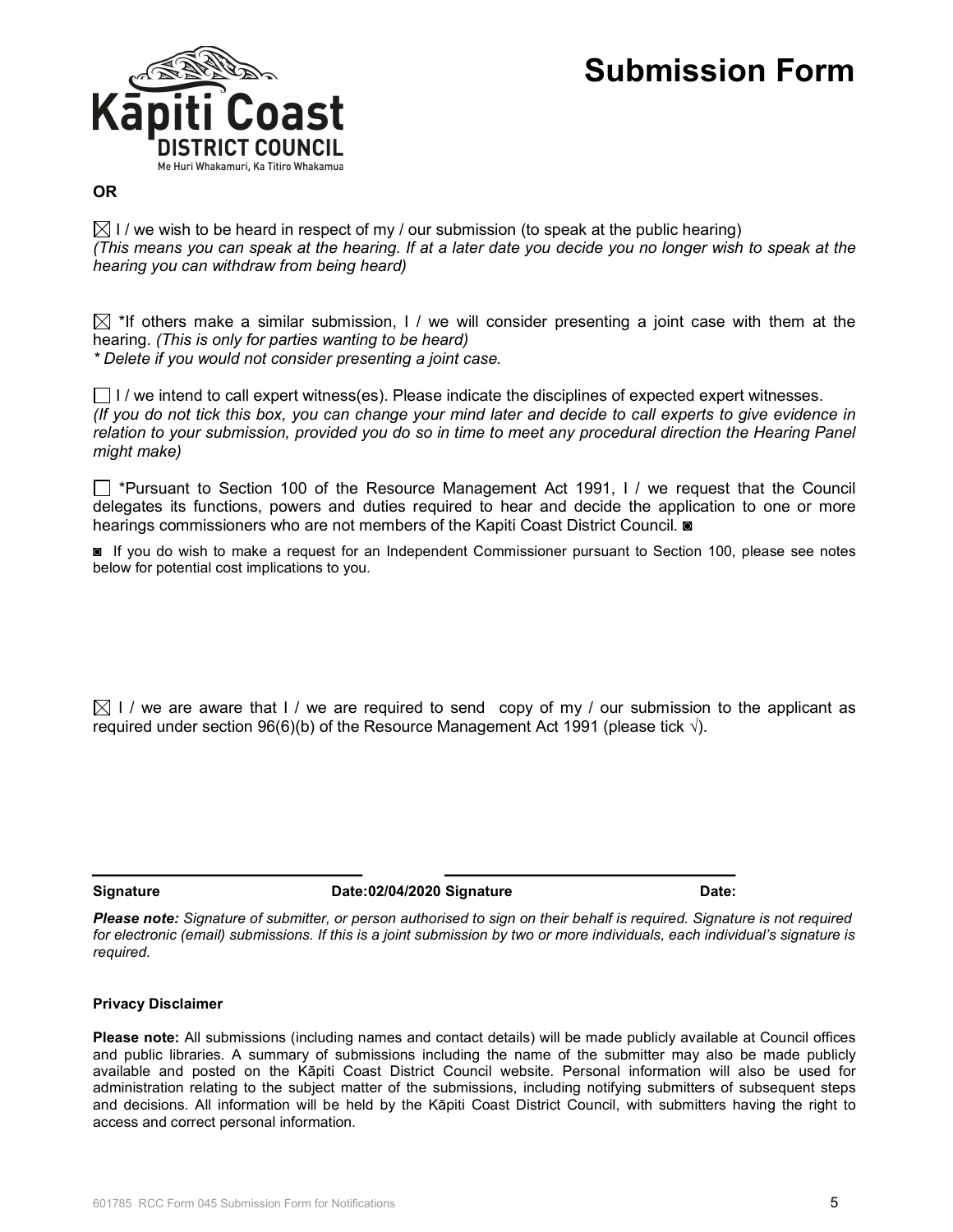

# OR

 $\boxtimes$  I / we wish to be heard in respect of my / our submission (to speak at the public hearing) (This means you can speak at the hearing. If at a later date you decide you no longer wish to speak at the hearing you can withdraw from being heard)

 $\boxtimes$  \*If others make a similar submission, I / we will consider presenting a joint case with them at the hearing. (This is only for parties wanting to be heard) \* Delete if you would not consider presenting a joint case.

 $\Box$  I / we intend to call expert witness(es). Please indicate the disciplines of expected expert witnesses. (If you do not tick this box, you can change your mind later and decide to call experts to give evidence in relation to your submission, provided you do so in time to meet any procedural direction the Hearing Panel might make)

 $\Box$  \*Pursuant to Section 100 of the Resource Management Act 1991, I / we request that the Council delegates its functions, powers and duties required to hear and decide the application to one or more hearings commissioners who are not members of the Kapiti Coast District Council.  $\blacksquare$ 

◙ If you do wish to make a request for an Independent Commissioner pursuant to Section 100, please see notes below for potential cost implications to you.

 $\boxtimes$  I / we are aware that I / we are required to send copy of my / our submission to the applicant as required under section 96(6)(b) of the Resource Management Act 1991 (please tick  $\sqrt{ }$ ).

Signature Date:02/04/2020 Signature Date:02/04/2020 Signature Date:

Please note: Signature of submitter, or person authorised to sign on their behalf is required. Signature is not required for electronic (email) submissions. If this is a joint submission by two or more individuals, each individual's signature is required.

#### Privacy Disclaimer

Please note: All submissions (including names and contact details) will be made publicly available at Council offices and public libraries. A summary of submissions including the name of the submitter may also be made publicly available and posted on the Kāpiti Coast District Council website. Personal information will also be used for administration relating to the subject matter of the submissions, including notifying submitters of subsequent steps and decisions. All information will be held by the Kāpiti Coast District Council, with submitters having the right to access and correct personal information.